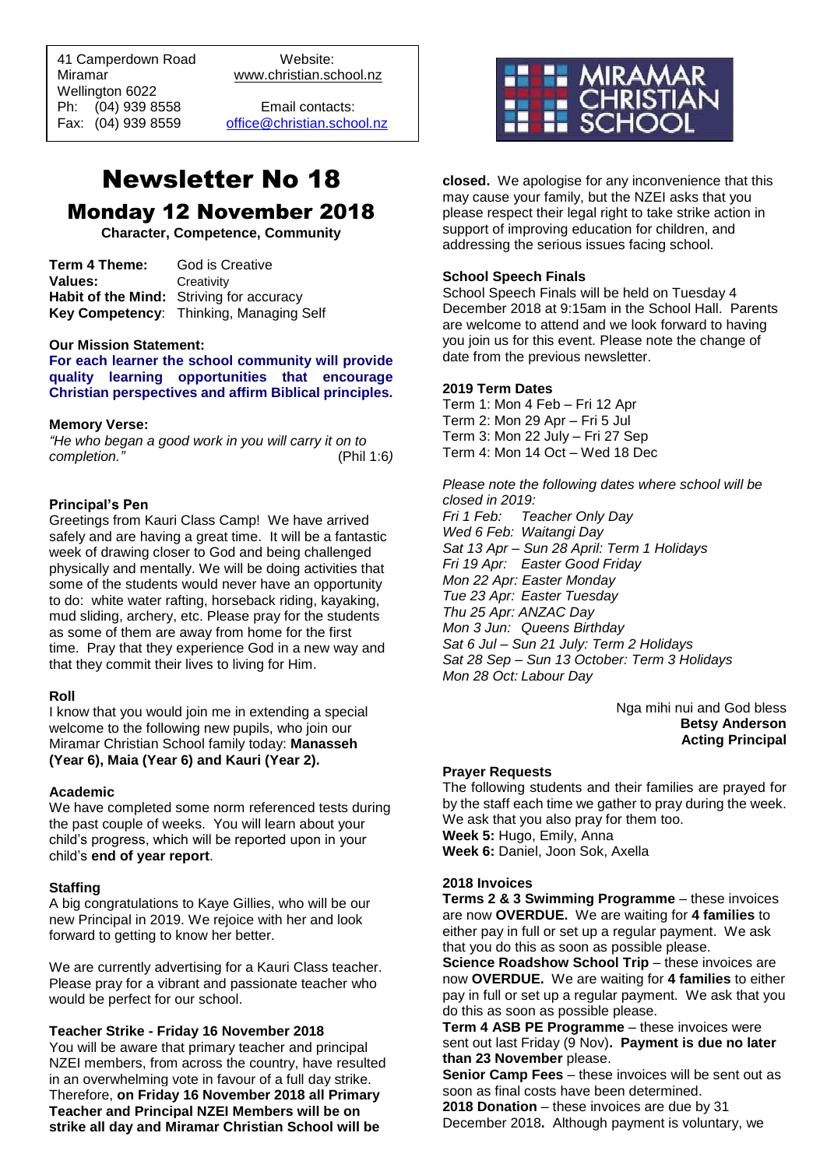41 Camperdown Road Website: Miramar www.christian.school.nz Wellington 6022 Ph: (04) 939 8558 Email contacts:

 $\overline{a}$ 

Fax: (04) 939 8559 [office@christian.school.nz](mailto:office@christian.school.nz)

# Newsletter No 18 Monday 12 November 2018

**Character, Competence, Community**

| Term 4 Theme: | God is Creative                          |
|---------------|------------------------------------------|
| Values:       | Creativity                               |
|               | Habit of the Mind: Striving for accuracy |
|               | Key Competency: Thinking, Managing Self  |

#### **Our Mission Statement:**

**For each learner the school community will provide quality learning opportunities that encourage Christian perspectives and affirm Biblical principles***.*

#### **Memory Verse:**

*"He who began a good work in you will carry it on to completion."* (Phil 1:6*)* 

#### **Principal's Pen**

Greetings from Kauri Class Camp! We have arrived safely and are having a great time. It will be a fantastic week of drawing closer to God and being challenged physically and mentally. We will be doing activities that some of the students would never have an opportunity to do: white water rafting, horseback riding, kayaking, mud sliding, archery, etc. Please pray for the students as some of them are away from home for the first time. Pray that they experience God in a new way and that they commit their lives to living for Him.

#### **Roll**

I know that you would join me in extending a special welcome to the following new pupils, who join our Miramar Christian School family today: **Manasseh (Year 6), Maia (Year 6) and Kauri (Year 2).**

#### **Academic**

We have completed some norm referenced tests during the past couple of weeks. You will learn about your child's progress, which will be reported upon in your child's **end of year report**.

#### **Staffing**

A big congratulations to Kaye Gillies, who will be our new Principal in 2019. We rejoice with her and look forward to getting to know her better.

We are currently advertising for a Kauri Class teacher. Please pray for a vibrant and passionate teacher who would be perfect for our school.

#### **Teacher Strike - Friday 16 November 2018**

You will be aware that primary teacher and principal NZEI members, from across the country, have resulted in an overwhelming vote in favour of a full day strike. Therefore, **on Friday 16 November 2018 all Primary Teacher and Principal NZEI Members will be on strike all day and Miramar Christian School will be** 



**closed.** We apologise for any inconvenience that this may cause your family, but the NZEI asks that you please respect their legal right to take strike action in support of improving education for children, and addressing the serious issues facing school.

#### **School Speech Finals**

School Speech Finals will be held on Tuesday 4 December 2018 at 9:15am in the School Hall. Parents are welcome to attend and we look forward to having you join us for this event. Please note the change of date from the previous newsletter.

#### **2019 Term Dates**

Term 1: Mon 4 Feb – Fri 12 Apr Term 2: Mon 29 Apr – Fri 5 Jul Term 3: Mon 22 July – Fri 27 Sep Term 4: Mon 14 Oct – Wed 18 Dec

*Please note the following dates where school will be closed in 2019: Fri 1 Feb: Teacher Only Day Wed 6 Feb: Waitangi Day Sat 13 Apr – Sun 28 April: Term 1 Holidays Fri 19 Apr: Easter Good Friday Mon 22 Apr: Easter Monday Tue 23 Apr: Easter Tuesday Thu 25 Apr: ANZAC Day Mon 3 Jun: Queens Birthday Sat 6 Jul – Sun 21 July: Term 2 Holidays Sat 28 Sep – Sun 13 October: Term 3 Holidays Mon 28 Oct: Labour Day*

> Nga mihi nui and God bless **Betsy Anderson Acting Principal**

#### **Prayer Requests**

The following students and their families are prayed for by the staff each time we gather to pray during the week. We ask that you also pray for them too. **Week 5:** Hugo, Emily, Anna **Week 6:** Daniel, Joon Sok, Axella

#### **2018 Invoices**

**Terms 2 & 3 Swimming Programme** – these invoices are now **OVERDUE.** We are waiting for **4 families** to either pay in full or set up a regular payment. We ask that you do this as soon as possible please.

**Science Roadshow School Trip** – these invoices are now **OVERDUE.** We are waiting for **4 families** to either pay in full or set up a regular payment. We ask that you do this as soon as possible please.

**Term 4 ASB PE Programme** – these invoices were sent out last Friday (9 Nov)**. Payment is due no later than 23 November** please.

**Senior Camp Fees** – these invoices will be sent out as soon as final costs have been determined.

**2018 Donation** – these invoices are due by 31 December 2018**.** Although payment is voluntary, we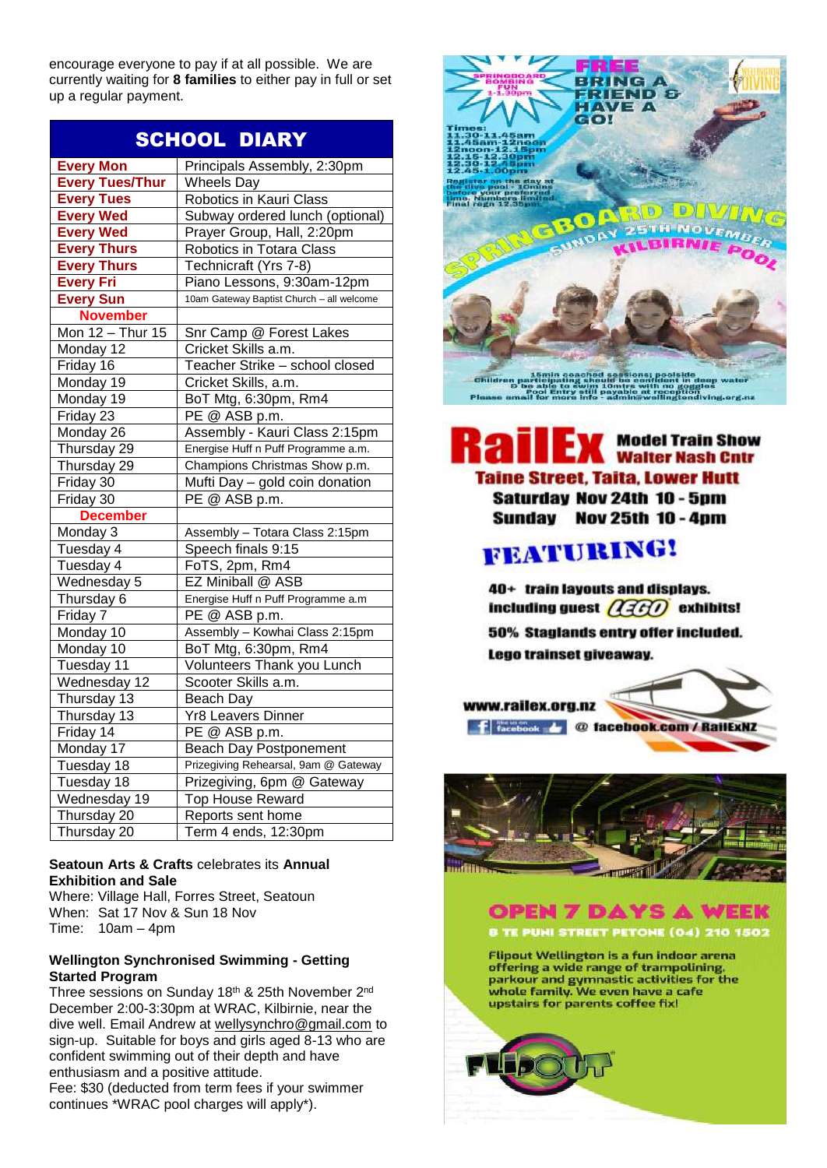encourage everyone to pay if at all possible. We are currently waiting for **8 families** to either pay in full or set up a regular payment.

| <b>SCHOOL DIARY</b>    |                                           |
|------------------------|-------------------------------------------|
| <b>Every Mon</b>       | Principals Assembly, 2:30pm               |
| <b>Every Tues/Thur</b> | <b>Wheels Day</b>                         |
| <b>Every Tues</b>      | Robotics in Kauri Class                   |
| <b>Every Wed</b>       | Subway ordered lunch (optional)           |
| <b>Every Wed</b>       | Prayer Group, Hall, 2:20pm                |
| <b>Every Thurs</b>     | Robotics in Totara Class                  |
| <b>Every Thurs</b>     | Technicraft (Yrs 7-8)                     |
| <b>Every Fri</b>       | Piano Lessons, 9:30am-12pm                |
| <b>Every Sun</b>       | 10am Gateway Baptist Church - all welcome |
| <b>November</b>        |                                           |
| Mon 12 - Thur 15       | Snr Camp @ Forest Lakes                   |
| Monday 12              | Cricket Skills a.m.                       |
| Friday 16              | Teacher Strike - school closed            |
| Monday 19              | Cricket Skills, a.m.                      |
| Monday 19              | BoT Mtg, 6:30pm, Rm4                      |
| Friday $23$            | PE @ ASB p.m.                             |
| Monday 26              | Assembly - Kauri Class 2:15pm             |
| Thursday 29            | Energise Huff n Puff Programme a.m.       |
| Thursday 29            | Champions Christmas Show p.m.             |
| Friday 30              | Mufti Day - gold coin donation            |
| Friday 30              | PE @ ASB p.m.                             |
| <b>December</b>        |                                           |
| Monday 3               | Assembly - Totara Class 2:15pm            |
| Tuesday 4              | Speech finals 9:15                        |
| Tuesday 4              | FoTS, 2pm, Rm4                            |
| Wednesday 5            | EZ Miniball @ ASB                         |
| Thursday 6             | Energise Huff n Puff Programme a.m        |
| Friday 7               | PE @ ASB p.m.                             |
| Monday 10              | Assembly - Kowhai Class 2:15pm            |
| Monday 10              | BoT Mtg, 6:30pm, Rm4                      |
| Tuesday 11             | Volunteers Thank you Lunch                |
| Wednesday 12           | Scooter Skills a.m.                       |
| Thursday 13            | Beach Day                                 |
| Thursday 13            | <b>Yr8 Leavers Dinner</b>                 |
| Friday 14              | PE @ ASB p.m.                             |
| Monday 17              | <b>Beach Day Postponement</b>             |
| Tuesday 18             | Prizegiving Rehearsal, 9am @ Gateway      |
| Tuesday 18             | Prizegiving, 6pm @ Gateway                |
| Wednesday 19           | <b>Top House Reward</b>                   |
| Thursday 20            | Reports sent home                         |
| Thursday 20            | Term 4 ends, 12:30pm                      |

### **Seatoun Arts & Crafts** celebrates its **Annual Exhibition and Sale**

Where: Village Hall, Forres Street, Seatoun When: Sat 17 Nov & Sun 18 Nov Time: 10am – 4pm

### **Wellington Synchronised Swimming - Getting Started Program**

Three sessions on Sunday 18<sup>th</sup> & 25th November 2<sup>nd</sup> December 2:00-3:30pm at WRAC, Kilbirnie, near the dive well. Email Andrew at [wellysynchro@gmail.com](mailto:wellysynchro@gmail.com) to sign-up. Suitable for boys and girls aged 8-13 who are confident swimming out of their depth and have enthusiasm and a positive attitude.

Fee: \$30 (deducted from term fees if your swimmer continues \*WRAC pool charges will apply\*).



## **Model Train Show Walter Nash Cntr Taine Street, Taita, Lower Hutt Saturday Nov 24th 10 - 5pm** Sunday Nov 25th 10 - 4pm

# **FEATURING!**

40+ train layouts and displays. including guest  $\widehat{AGO}$  exhibits! 50% Staglands entry offer included. Lego trainset giveaway.







**Flipout Wellington is a fun indoor arena** offering a wide range of trampolining. parkour and gymnastic activities for the whole family. We even have a cafe upstairs for parents coffee fix!